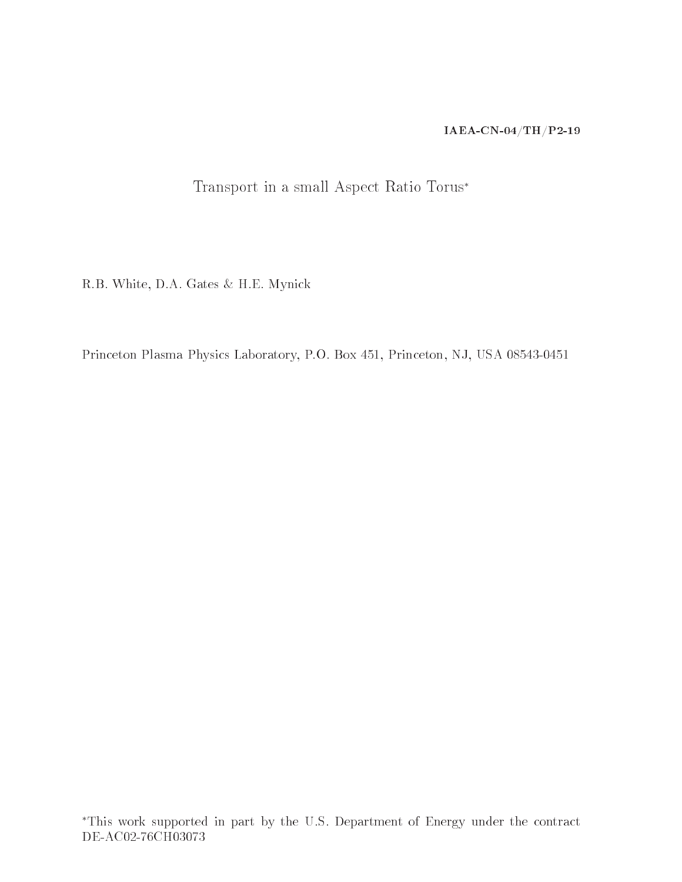### IAEA-CN-04/TH/P2-19

# Transport in a small Aspect Ratio Torus∗

R.B. White, D.A. Gates & H.E. Mynick

Princeton Plasma Physics Laboratory, P.O. Box 451, Princeton, NJ, USA 08543-0451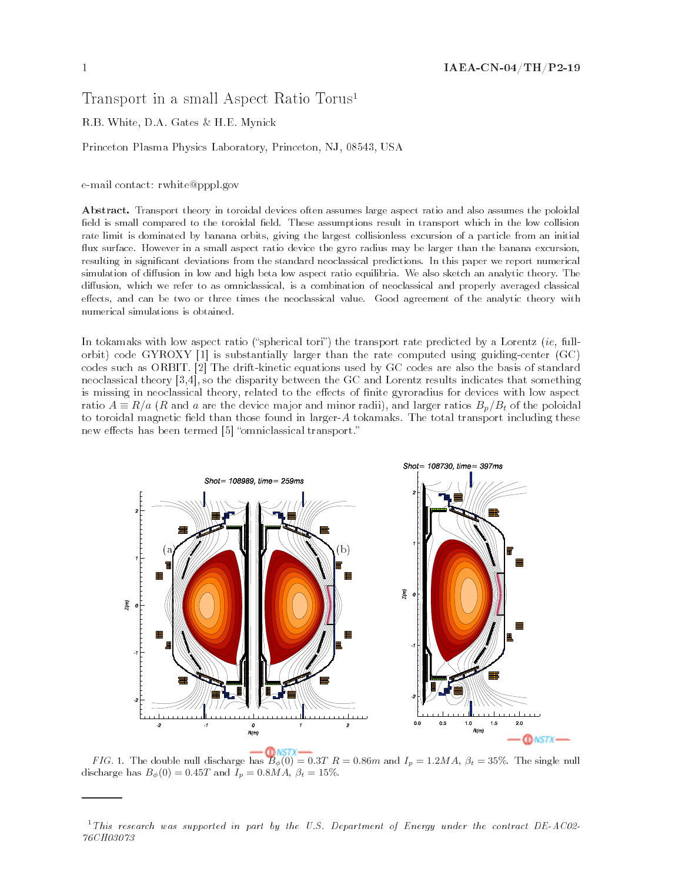## Transport in a small Aspect Ratio Torus1

#### R.B. White, D.A. Gates & H.E. Mynick

Princeton Plasma Physics Laboratory, Princeton, NJ, 08543, USA

e-mail contact: rwhite@pppl.gov

Abstract. Transport theory in toroidal devices often assumes large aspect ratio and also assumes the poloidal field is small compared to the toroidal field. These assumptions result in transport which in the low collision rate limit is dominated by banana orbits, giving the largest collisionless excursion of a particle from an initial flux surface. However in a small aspect ratio device the gyro radius may be larger than the banana excursion, resulting in signicant deviations from the standard neoclassical predictions. In this paper we report numerical simulation of diffusion in low and high beta low aspect ratio equilibria. We also sketch an analytic theory. The diffusion, which we refer to as omniclassical, is a combination of neoclassical and properly averaged classical effects, and can be two or three times the neoclassical value. Good agreement of the analytic theory with numerical simulations is obtained.

In tokamaks with low aspect ratio ("spherical tori") the transport rate predicted by a Lorentz ( $ie$ , fullorbit) code GYROXY [1] is substantially larger than the rate computed using guiding-center (GC) codes such as ORBIT. [2] The drift-kinetic equations used by GC codes are also the basis of standard neoclassical theory [3,4], so the disparity between the GC and Lorentz results indicates that something is missing in neoclassical theory, related to the effects of finite gyroradius for devices with low aspect ratio  $A \equiv R/a$  (R and a are the device major and minor radii), and larger ratios  $B_p/B_t$  of the poloidal to toroidal magnetic field than those found in larger-A tokamaks. The total transport including these new effects has been termed [5] "omniclassical transport."



FIG. 1. The double null discharge has  $B_{\phi}(0) = 0.3T R = 0.86m$  and  $I_p = 1.2M A$ ,  $\beta_t = 35\%$ . The single null discharge has  $B_{\phi}(0) = 0.45T$  and  $I_p = 0.8MA$ ,  $\beta_t = 15\%$ .

 $1$ This research was supported in part by the U.S. Department of Energy under the contract DE-AC02-76CH03073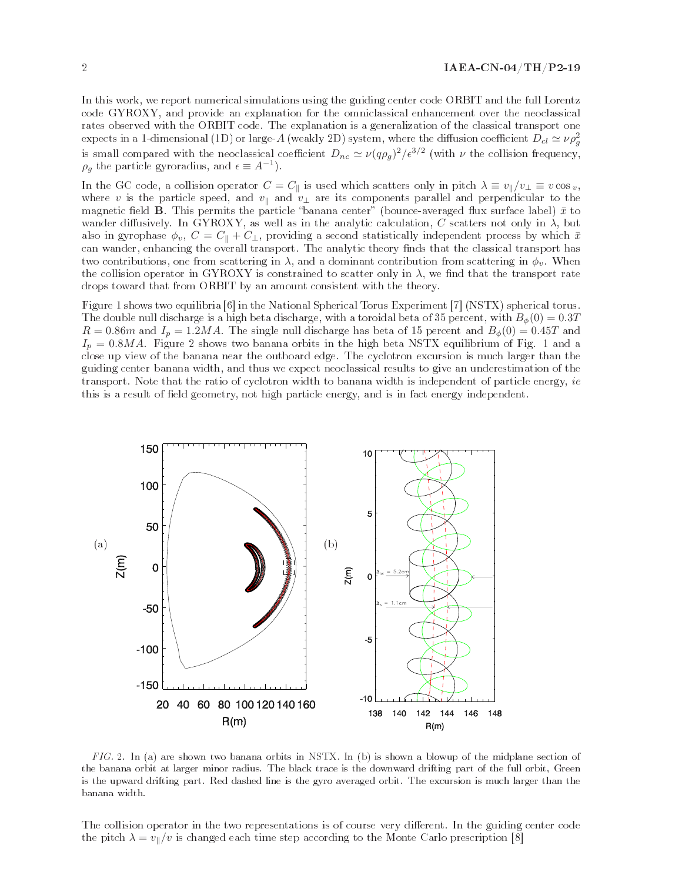In this work, we report numerical simulations using the guiding center code ORBIT and the full Lorentz code GYROXY, and provide an explanation for the omniclassical enhancement over the neoclassical rates observed with the ORBIT code. The explanation is a generalization of the classical transport one expects in a 1-dimensional (1D) or large- $A$  (weakly 2D) system, where the diffusion coefficient  $D_{cl}\simeq \nu \rho_g^2$ is small compared with the neoclassical coefficient  $D_{nc} \simeq \nu (q\rho_q)^2/\epsilon^{3/2}$  (with  $\nu$  the collision frequency,  $\rho_g$  the particle gyroradius, and  $\epsilon \equiv A^{-1}$ ).

In the GC code, a collision operator  $C = C_{\parallel}$  is used which scatters only in pitch  $\lambda \equiv v_{\parallel}/v_{\perp} \equiv v \cos v$ , where v is the particle speed, and  $v_{\parallel}$  and  $v_{\perp}$  are its components parallel and perpendicular to the magnetic field **B**. This permits the particle "banana center" (bounce-averaged flux surface label)  $\bar{x}$  to wander diffusively. In GYROXY, as well as in the analytic calculation, C scatters not only in  $\lambda$ , but also in gyrophase  $\phi_v$ ,  $C = C_{\parallel} + C_{\perp}$ , providing a second statistically independent process by which  $\bar{x}$ can wander, enhancing the overall transport. The analytic theory finds that the classical transport has two contributions, one from scattering in  $\lambda$ , and a dominant contribution from scattering in  $\phi_v$ . When the collision operator in GYROXY is constrained to scatter only in  $\lambda$ , we find that the transport rate drops toward that from ORBIT by an amount consistent with the theory.

Figure 1 shows two equilibria [6] in the National Spherical Torus Experiment [7] (NSTX) spherical torus. The double null discharge is a high beta discharge, with a toroidal beta of 35 percent, with  $B_{\phi}(0) = 0.3T$  $R = 0.86m$  and  $I_p = 1.2MA$ . The single null discharge has beta of 15 percent and  $B_{\phi}(0) = 0.45T$  and  $I_p = 0.8MA$ . Figure 2 shows two banana orbits in the high beta NSTX equilibrium of Fig. 1 and a close up view of the banana near the outboard edge. The cyclotron excursion is much larger than the guiding center banana width, and thus we expect neoclassical results to give an underestimation of the transport. Note that the ratio of cyclotron width to banana width is independent of particle energy, ie this is a result of field geometry, not high particle energy, and is in fact energy independent.



FIG. 2. In (a) are shown two banana orbits in NSTX. In (b) is shown a blowup of the midplane section of the banana orbit at larger minor radius. The black trace is the downward drifting part of the full orbit, Green is the upward drifting part. Red dashed line is the gyro averaged orbit. The excursion is much larger than the banana width.

The collision operator in the two representations is of course very different. In the guiding center code the pitch  $\lambda = v_{\parallel}/v$  is changed each time step according to the Monte Carlo prescription [8]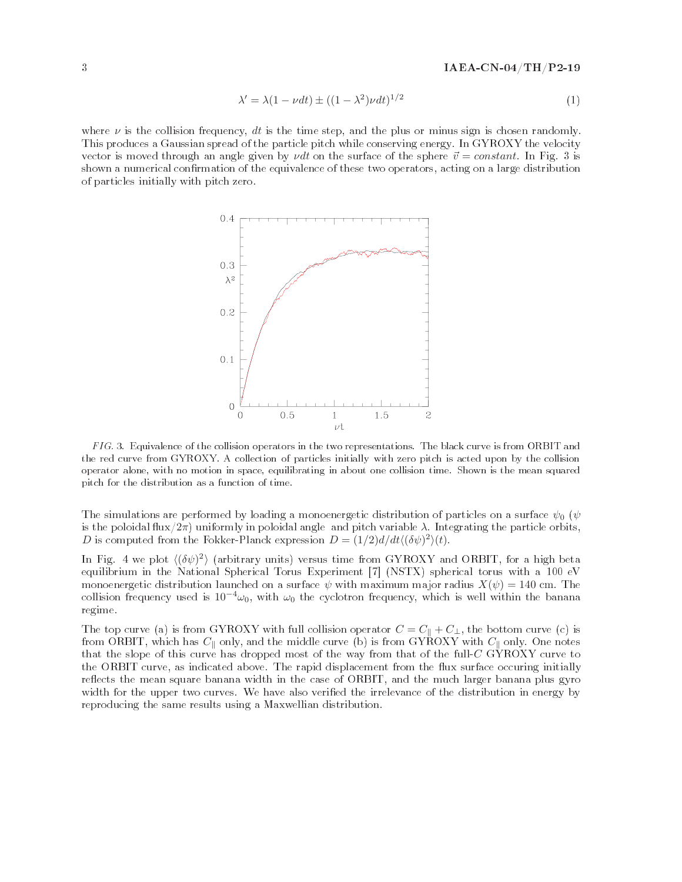$$
\lambda' = \lambda (1 - \nu dt) \pm ((1 - \lambda^2) \nu dt)^{1/2}
$$
\n(1)

where  $\nu$  is the collision frequency, dt is the time step, and the plus or minus sign is chosen randomly. This produces a Gaussian spread of the particle pitch while conserving energy. In GYROXY the velocity vector is moved through an angle given by *vdt* on the surface of the sphere  $\vec{v} = constant$ . In Fig. 3 is shown a numerical confirmation of the equivalence of these two operators, acting on a large distribution of particles initially with pitch zero.



FIG. 3. Equivalence of the collision operators in the two representations. The black curve is from ORBIT and the red curve from GYROXY. A collection of particles initially with zero pitch is acted upon by the collision operator alone, with no motion in space, equilibrating in about one collision time. Shown is the mean squared pitch for the distribution as a function of time.

The simulations are performed by loading a monoenergetic distribution of particles on a surface  $\psi_0$  ( $\psi$ is the poloidal flux/2π) uniformly in poloidal angle and pitch variable  $\lambda$ . Integrating the particle orbits, D is computed from the Fokker-Planck expression  $D = (1/2)d/dt\langle (\delta\psi)^2 \rangle(t)$ .

In Fig. 4 we plot  $\langle (\delta \psi)^2 \rangle$  (arbitrary units) versus time from GYROXY and ORBIT, for a high beta equilibrium in the National Spherical Torus Experiment [7] (NSTX) spherical torus with a 100 eV monoenergetic distribution launched on a surface  $\psi$  with maximum major radius  $X(\psi) = 140$  cm. The collision frequency used is  $10^{-4}\omega_0$ , with  $\omega_0$  the cyclotron frequency, which is well within the banana regime.

The top curve (a) is from GYROXY with full collision operator  $C = C_{\parallel} + C_{\perp}$ , the bottom curve (c) is from ORBIT, which has  $C_{\parallel}$  only, and the middle curve (b) is from GYROXY with  $C_{\parallel}$  only. One notes that the slope of this curve has dropped most of the way from that of the full-C GYROXY curve to the ORBIT curve, as indicated above. The rapid displacement from the flux surface occuring initially reflects the mean square banana width in the case of ORBIT, and the much larger banana plus gyro width for the upper two curves. We have also verified the irrelevance of the distribution in energy by reproducing the same results using a Maxwellian distribution.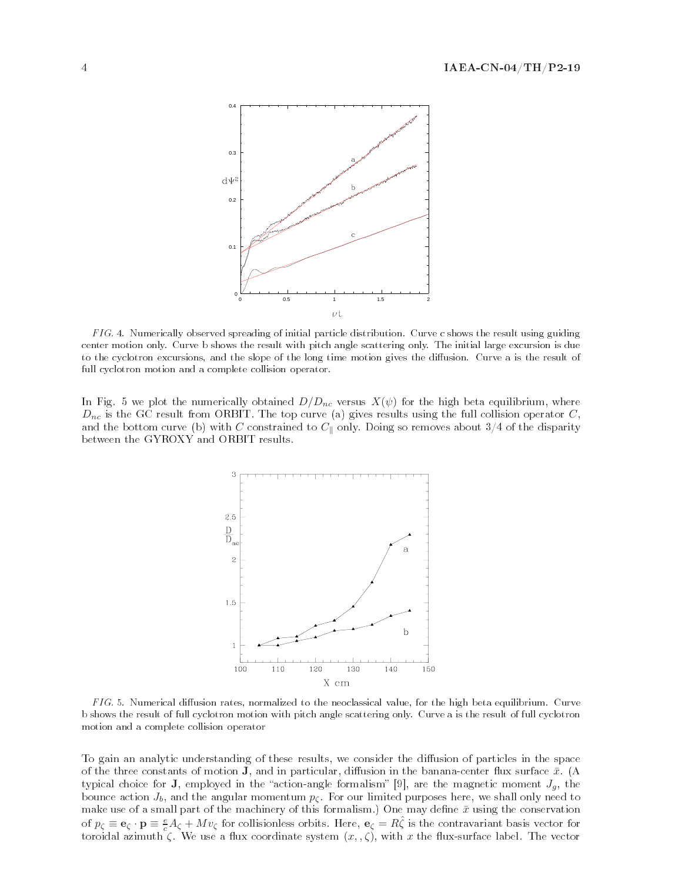

FIG. 4. Numerically observed spreading of initial particle distribution. Curve c shows the result using guiding center motion only. Curve b shows the result with pitch angle scattering only. The initial large excursion is due to the cyclotron excursions, and the slope of the long time motion gives the diusion. Curve a is the result of full cyclotron motion and a complete collision operator.

In Fig. 5 we plot the numerically obtained  $D/D_{nc}$  versus  $X(\psi)$  for the high beta equilibrium, where  $D_{nc}$  is the GC result from ORBIT. The top curve (a) gives results using the full collision operator  $C$ , and the bottom curve (b) with C constrained to  $C_{\parallel}$  only. Doing so removes about 3/4 of the disparity between the GYROXY and ORBIT results.



 $FIG. 5.$  Numerical diffusion rates, normalized to the neoclassical value, for the high beta equilibrium. Curve b shows the result of full cyclotron motion with pitch angle scattering only. Curve a is the result of full cyclotron motion and a complete collision operator

To gain an analytic understanding of these results, we consider the diffusion of particles in the space of the three constants of motion **J**, and in particular, diffusion in the banana-center flux surface  $\bar{x}$ . (A typical choice for **J**, employed in the "action-angle formalism" [9], are the magnetic moment  $J<sub>g</sub>$ , the bounce action  $J_b$ , and the angular momentum  $p_c$ . For our limited purposes here, we shall only need to make use of a small part of the machinery of this formalism.) One may define  $\bar{x}$  using the conservation of  $p_{\zeta} \equiv \mathbf{e}_{\zeta} \cdot \mathbf{p} \equiv \frac{e}{c} A_{\zeta} + M v_{\zeta}$  for collisionless orbits. Here,  $\mathbf{e}_{\zeta} = R \hat{\zeta}$  is the contravariant basis vector for toroidal azimuth  $\zeta$ . We use a flux coordinate system  $(x, \zeta)$ , with x the flux-surface label. The vector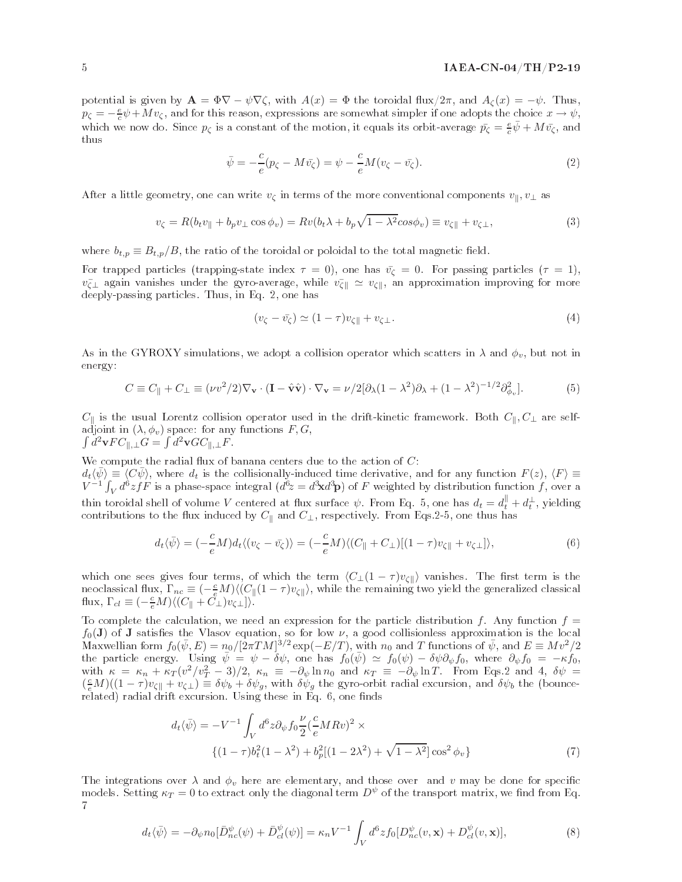potential is given by  $\mathbf{A} = \Phi \nabla - \psi \nabla \zeta$ , with  $A(x) = \Phi$  the toroidal flux/2π, and  $A_{\zeta}(x) = -\psi$ . Thus,  $p_{\zeta} = -\frac{e}{c}\psi + Mv_{\zeta}$ , and for this reason, expressions are somewhat simpler if one adopts the choice  $x \to \psi$ , which we now do. Since  $p_{\zeta}$  is a constant of the motion, it equals its orbit-average  $\bar{p_{\zeta}} = \frac{e}{c}\bar{\psi} + M\bar{v_{\zeta}}$ , and thus

$$
\bar{\psi} = -\frac{c}{e}(p_{\zeta} - M\bar{v_{\zeta}}) = \psi - \frac{c}{e}M(v_{\zeta} - \bar{v_{\zeta}}). \tag{2}
$$

After a little geometry, one can write  $v_{\zeta}$  in terms of the more conventional components  $v_{\parallel}, v_{\perp}$  as

$$
v_{\zeta} = R(b_t v_{\parallel} + b_p v_{\perp} \cos \phi_v) = Rv(b_t \lambda + b_p \sqrt{1 - \lambda^2} \cos \phi_v) \equiv v_{\zeta \parallel} + v_{\zeta \perp},\tag{3}
$$

where  $b_{t,p} \equiv B_{t,p}/B$ , the ratio of the toroidal or poloidal to the total magnetic field.

For trapped particles (trapping-state index  $\tau = 0$ ), one has  $\bar{v}_{\zeta} = 0$ . For passing particles  $(\tau = 1)$ ,  $v_{\zeta\perp}$  again vanishes under the gyro-average, while  $v_{\zeta\parallel} \simeq v_{\zeta\parallel}$ , an approximation improving for more deeply-passing particles. Thus, in Eq. 2, one has

$$
(v_{\zeta} - \bar{v_{\zeta}}) \simeq (1 - \tau)v_{\zeta} + v_{\zeta \perp}.
$$
\n
$$
(4)
$$

As in the GYROXY simulations, we adopt a collision operator which scatters in  $\lambda$  and  $\phi_v$ , but not in energy:

$$
C \equiv C_{\parallel} + C_{\perp} \equiv (\nu v^2 / 2) \nabla_{\mathbf{v}} \cdot (\mathbf{I} - \hat{\mathbf{v}} \hat{\mathbf{v}}) \cdot \nabla_{\mathbf{v}} = \nu / 2 [\partial_{\lambda} (1 - \lambda^2) \partial_{\lambda} + (1 - \lambda^2)^{-1/2} \partial_{\phi_v}^2]. \tag{5}
$$

 $C_{\parallel}$  is the usual Lorentz collision operator used in the drift-kinetic framework. Both  $C_{\parallel}, C_{\perp}$  are selfadjoint in  $(\lambda, \phi_v)$  space: for any functions  $F, G$ ,  $\int d^2 \mathbf{v} F C_{\parallel,\perp} G = \int d^2 \mathbf{v} G C_{\parallel,\perp} F$ .

We compute the radial flux of banana centers due to the action of  $C$ :  $d_t\langle\bar{\psi}\rangle\equiv\langle C\bar{\psi}\rangle$ , where  $d_t$  is the collisionally-induced time derivative, and for any function  $F(z)$ ,  $\langle F\rangle\equiv$  $V^{-1} \int_V d^3z f$  is a phase-space integral  $(d^3z = d^3xd^3p)$  of F weighted by distribution function f, over a thin toroidal shell of volume  $V$  centered at flux surface  $\psi$ . From Eq. 5, one has  $d_t = d^\parallel_t + d^\perp_t$ , yielding contributions to the flux induced by  $C_{\parallel}$  and  $C_{\perp}$ , respectively. From Eqs.2-5, one thus has

$$
d_t \langle \bar{\psi} \rangle = (-\frac{c}{e} M) d_t \langle (v_{\zeta} - \bar{v_{\zeta}}) \rangle = (-\frac{c}{e} M) \langle (C_{\parallel} + C_{\perp}) [(1 - \tau) v_{\zeta \parallel} + v_{\zeta \perp}] \rangle, \tag{6}
$$

which one sees gives four terms, of which the term  $\langle C_{\perp}(1 - \tau) v_{\zeta} \rangle$  vanishes. The first term is the neoclassical flux,  $\Gamma_{nc} \equiv (-\frac{c}{\epsilon}M)\langle (C_{\parallel}(1-\tau)v_{\zeta\parallel}\rangle$ , while the remaining two yield the generalized classical flux,  $\Gamma_{cl} \equiv \left(-\frac{c}{e}M\right) \langle \left(C_{\parallel} + C_{\perp}\right) v_{\zeta\perp} \rangle \rangle$ .

To complete the calculation, we need an expression for the particle distribution f. Any function  $f =$  $f_0(\mathbf{J})$  of **J** satisfies the Vlasov equation, so for low  $\nu$ , a good collisionless approximation is the local  $\hat{M}$ axwellian form  $f_0(\bar{\psi},E)=n_0/[2\pi TM]^{3/2}\exp(-E/T)$ , with  $n_0$  and  $T$  functions of  $\bar{\psi}$ , and  $E\equiv Mv^2/2$ the particle energy. Using  $\bar{\psi} = \psi - \delta \psi$ , one has  $f_0(\bar{\psi}) \simeq f_0(\psi) - \delta \psi \partial_{\psi} f_0$ , where  $\partial_{\psi} f_0 = -\kappa f_0$ , with  $\kappa = \kappa_n + \kappa_T (v^2/v_T^2 - 3)/2$ ,  $\kappa_n \equiv -\partial_\psi \ln n_0$  and  $\kappa_T \equiv -\partial_\psi \ln T$ . From Eqs.2 and 4,  $\delta \psi =$  $(\frac{c}{e}M)((1-\tau)v_{\zeta\parallel}+v_{\zeta\perp})\equiv \delta\psi_b+\delta\psi_g$ , with  $\delta\psi_g$  the gyro-orbit radial excursion, and  $\delta\psi_b$  the (bouncerelated) radial drift excursion. Using these in Eq. 6, one finds

$$
d_t \langle \bar{\psi} \rangle = -V^{-1} \int_V d^6 z \partial_{\psi} f_0 \frac{\nu}{2} (\frac{c}{e} M R v)^2 \times \n\{ (1 - \tau) b_t^2 (1 - \lambda^2) + b_p^2 [(1 - 2\lambda^2) + \sqrt{1 - \lambda^2}] \cos^2 \phi_v \}
$$
\n(7)

The integrations over  $\lambda$  and  $\phi_v$  here are elementary, and those over and v may be done for specific models. Setting  $\kappa_T = 0$  to extract only the diagonal term  $D^{\psi}$  of the transport matrix, we find from Eq. 7

$$
d_t\langle \bar{\psi} \rangle = -\partial_{\psi} n_0 [\bar{D}_{nc}^{\psi}(\psi) + \bar{D}_{cl}^{\psi}(\psi)] = \kappa_n V^{-1} \int_V d^6 z f_0[D_{nc}^{\psi}(v, \mathbf{x}) + D_{cl}^{\psi}(v, \mathbf{x})],\tag{8}
$$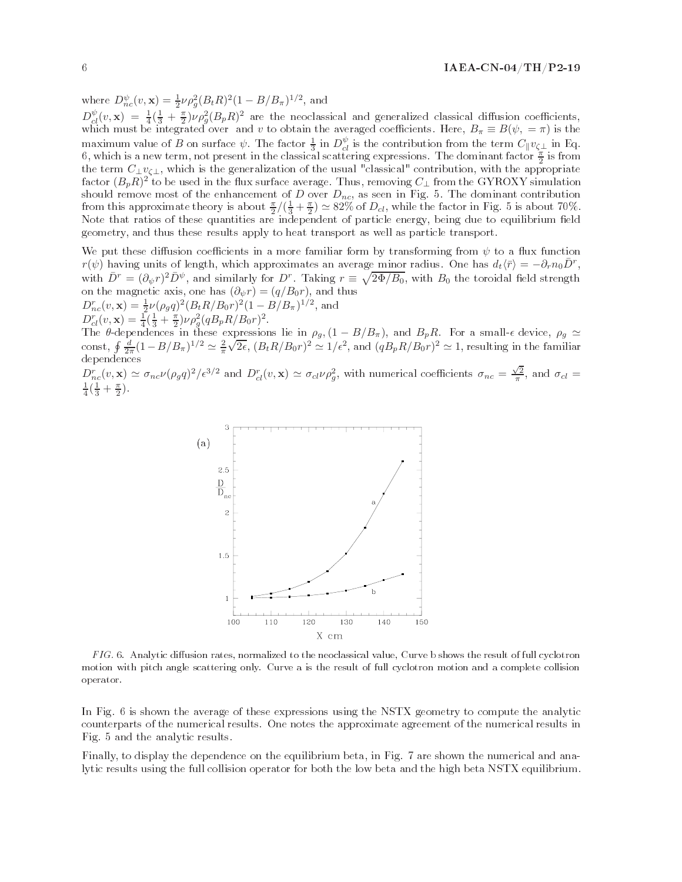where  $D_{nc}^{\psi}(v, \mathbf{x}) = \frac{1}{2} \nu \rho_g^2 (B_t R)^2 (1 - B/B_\pi)^{1/2}$ , and  $D_{cl}^{\psi}(v, \mathbf{x}) = \frac{1}{4}(\frac{1}{3} + \frac{\pi}{2})\nu \rho_g^2 (B_p R)^2$  are the neoclassical and generalized classical diffusion coefficients, which must be integrated over and v to obtain the averaged coefficients. Here,  $B_{\pi} \equiv B(\psi, = \pi)$  is the maximum value of B on surface  $\psi$ . The factor  $\frac{1}{3}$  in  $D_{cl}^{\psi}$  is the contribution from the term  $C_{\parallel}v_{\zeta\perp}$  in Eq.<br>6, which is a new term, not present in the classical scattering expressions. The dominant fa the term  $C_{\perp}v_{\zeta\perp}$ , which is the generalization of the usual "classical" contribution, with the appropriate factor  $(B_pR)^2$  to be used in the flux surface average. Thus, removing  $C_\perp$  from the GYROXY simulation should remove most of the enhancement of  $D$  over  $D_{nc}$ , as seen in Fig. 5. The dominant contribution from this approximate theory is about  $\frac{\pi}{2}/(\frac{1}{3} + \frac{\pi}{2}) \simeq 82\%$  of  $D_{cl}$ , while the factor in Fig. 5 is about 70%. Note that ratios of these quantities are independent of particle energy, being due to equilibrium field geometry, and thus these results apply to heat transport as well as particle transport.

We put these diffusion coefficients in a more familiar form by transforming from  $\psi$  to a flux function  $r(\psi)$  having units of length, which approximates an average minor radius. One has  $d_t\langle\bar{r}\rangle = -\partial_r n_0\bar{D}^r$ , with  $\bar{D}^r = (\partial_\psi r)^2 \bar{D}^{\psi}$ , and similarly for  $D^r$ . Taking  $r \equiv \sqrt{2\Phi/B_0}$ , with  $B_0$  the toroidal field strength on the magnetic axis, one has  $(\partial_\psi r)=(q/B_0r)$ , and thus  $D_{nc}^r(v, \mathbf{x}) = \frac{1}{2}\nu(\rho_g q)^2 (B_t R / B_0 r)^2 (1 - B / B_\pi)^{1/2}$ , and

 $D^r_{cl}(v, \mathbf{x}) = \frac{1}{4} (\frac{1}{3} + \frac{\pi}{2}) \nu \rho_g^2 (q B_p R / B_0 r)^2.$ The  $\theta$ -dependences in these expressions lie in  $\rho_g$ ,  $(1 - B/B_\pi)$ , and  $B_pR$ . For a small- $\epsilon$  device,  $\rho_g \simeq$ The 0-dependences in these expressions he in  $p_g$ ,  $(1 - B/B_\pi)$ , and  $D_pR$ . For a small-e device,  $p_g \ge$ const,  $\oint \frac{d}{2\pi}(1 - B/B_\pi)^{1/2} \simeq \frac{2}{\pi}\sqrt{2\epsilon}$ ,  $(B_tR/B_0r)^2 \simeq 1/\epsilon^2$ , and  $(qB_pR/B_0r)^2 \simeq 1$ , resulting in the fam dependences

 $D_{nc}^r(v, \mathbf{x}) \simeq \sigma_{nc} \nu (\rho_g q)^2 / \epsilon^{3/2}$  and  $D_{cl}^r(v, \mathbf{x}) \simeq \sigma_{cl} \nu \rho_g^2$ , with numerical coefficients  $\sigma_{nc} = \frac{\sqrt{2}}{\pi}$ , and  $\sigma_{cl} = \frac{1}{\pi}$ .  $\frac{1}{4}(\frac{1}{3}+\frac{\pi}{2}).$ 



 $FIG. 6.$  Analytic diffusion rates, normalized to the neoclassical value, Curve b shows the result of full cyclotron motion with pitch angle scattering only. Curve a is the result of full cyclotron motion and a complete collision operator.

In Fig. 6 is shown the average of these expressions using the NSTX geometry to compute the analytic counterparts of the numerical results. One notes the approximate agreement of the numerical results in Fig. 5 and the analytic results.

Finally, to display the dependence on the equilibrium beta, in Fig. 7 are shown the numerical and analytic results using the full collision operator for both the low beta and the high beta NSTX equilibrium.